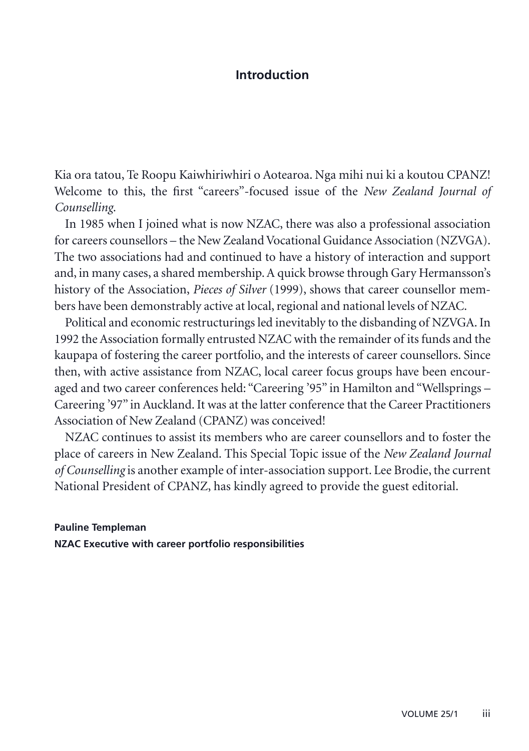## **Introduction**

Kia ora tatou, Te Roopu Kaiwhiriwhiri o Aotearoa. Nga mihi nui ki a koutou CPANZ! Welcome to this, the first "careers"-focused issue of the *New Zealand Journal of Counselling*.

In 1985 when I joined what is now NZAC, there was also a professional association for careers counsellors – the New Zealand Vocational Guidance Association (NZVGA). The two associations had and continued to have a history of interaction and support and, in many cases, a shared membership. A quick browse through Gary Hermansson's history of the Association, *Pieces of Silver* (1999), shows that career counsellor members have been demonstrably active at local, regional and national levels of NZAC.

Political and economic restructurings led inevitably to the disbanding of NZVGA. In 1992 the Association formally entrusted NZAC with the remainder of its funds and the kaupapa of fostering the career portfolio, and the interests of career counsellors. Since then, with active assistance from NZAC, local career focus groups have been encouraged and two career conferences held: "Careering '95" in Hamilton and "Wellsprings – Careering '97" in Auckland. It was at the latter conference that the Career Practitioners Association of New Zealand (CPANZ) was conceived!

NZAC continues to assist its members who are career counsellors and to foster the place of careers in New Zealand. This Special Topic issue of the *New Zealand Journal of Counselling* is another example of inter-association support. Lee Brodie, the current National President of CPANZ, has kindly agreed to provide the guest editorial.

## **Pauline Templeman NZAC Executive with career portfolio responsibilities**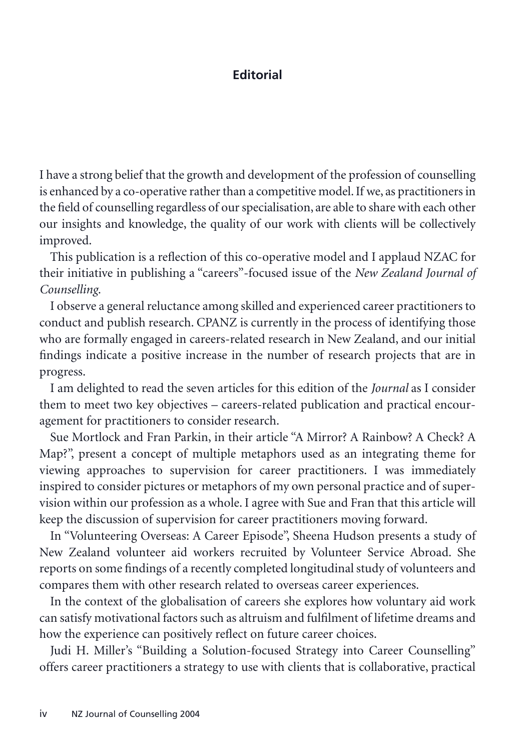## **Editorial**

I have a strong belief that the growth and development of the profession of counselling is enhanced by a co-operative rather than a competitive model. If we, as practitioners in the field of counselling regardless of our specialisation, are able to share with each other our insights and knowledge, the quality of our work with clients will be collectively improved.

This publication is a reflection of this co-operative model and I applaud NZAC for their initiative in publishing a "careers"-focused issue of the *New Zealand Journal of Counselling*.

I observe a general reluctance among skilled and experienced career practitioners to conduct and publish research. CPANZ is currently in the process of identifying those who are formally engaged in careers-related research in New Zealand, and our initial findings indicate a positive increase in the number of research projects that are in progress.

I am delighted to read the seven articles for this edition of the *Journal* as I consider them to meet two key objectives – careers-related publication and practical encouragement for practitioners to consider research.

Sue Mortlock and Fran Parkin, in their article "A Mirror? A Rainbow? A Check? A Map?", present a concept of multiple metaphors used as an integrating theme for viewing approaches to supervision for career practitioners. I was immediately inspired to consider pictures or metaphors of my own personal practice and of supervision within our profession as a whole. I agree with Sue and Fran that this article will keep the discussion of supervision for career practitioners moving forward.

In "Volunteering Overseas: A Career Episode", Sheena Hudson presents a study of New Zealand volunteer aid workers recruited by Volunteer Service Abroad. She reports on some findings of a recently completed longitudinal study of volunteers and compares them with other research related to overseas career experiences.

In the context of the globalisation of careers she explores how voluntary aid work can satisfy motivational factors such as altruism and fulfilment of lifetime dreams and how the experience can positively reflect on future career choices.

Judi H. Miller's "Building a Solution-focused Strategy into Career Counselling" offers career practitioners a strategy to use with clients that is collaborative, practical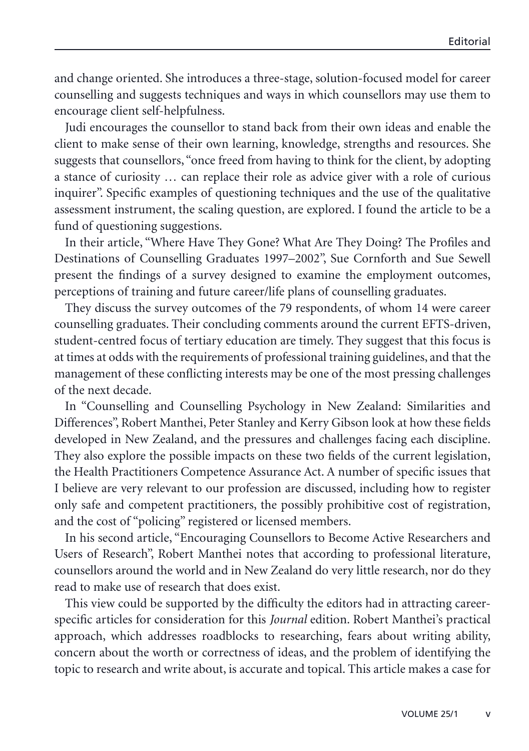and change oriented. She introduces a three-stage, solution-focused model for career counselling and suggests techniques and ways in which counsellors may use them to encourage client self-helpfulness.

Judi encourages the counsellor to stand back from their own ideas and enable the client to make sense of their own learning, knowledge, strengths and resources. She suggests that counsellors, "once freed from having to think for the client, by adopting a stance of curiosity … can replace their role as advice giver with a role of curious inquirer". Specific examples of questioning techniques and the use of the qualitative assessment instrument, the scaling question, are explored. I found the article to be a fund of questioning suggestions.

In their article, "Where Have They Gone? What Are They Doing? The Profiles and Destinations of Counselling Graduates 1997–2002", Sue Cornforth and Sue Sewell present the findings of a survey designed to examine the employment outcomes, perceptions of training and future career/life plans of counselling graduates.

They discuss the survey outcomes of the 79 respondents, of whom 14 were career counselling graduates. Their concluding comments around the current EFTS-driven, student-centred focus of tertiary education are timely. They suggest that this focus is at times at odds with the requirements of professional training guidelines, and that the management of these conflicting interests may be one of the most pressing challenges of the next decade.

In "Counselling and Counselling Psychology in New Zealand: Similarities and Differences", Robert Manthei, Peter Stanley and Kerry Gibson look at how these fields developed in New Zealand, and the pressures and challenges facing each discipline. They also explore the possible impacts on these two fields of the current legislation, the Health Practitioners Competence Assurance Act. A number of specific issues that I believe are very relevant to our profession are discussed, including how to register only safe and competent practitioners, the possibly prohibitive cost of registration, and the cost of "policing" registered or licensed members.

In his second article, "Encouraging Counsellors to Become Active Researchers and Users of Research", Robert Manthei notes that according to professional literature, counsellors around the world and in New Zealand do very little research, nor do they read to make use of research that does exist.

This view could be supported by the difficulty the editors had in attracting careerspecific articles for consideration for this *Journal* edition. Robert Manthei's practical approach, which addresses roadblocks to researching, fears about writing ability, concern about the worth or correctness of ideas, and the problem of identifying the topic to research and write about, is accurate and topical. This article makes a case for